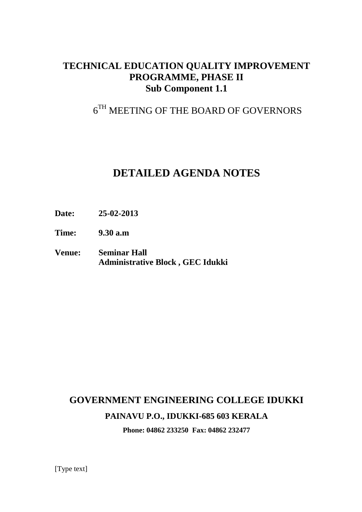### **TECHNICAL EDUCATION QUALITY IMPROVEMENT PROGRAMME, PHASE II Sub Component 1.1**

 $6^\mathrm{TH}$  MEETING OF THE BOARD OF GOVERNORS

# **DETAILED AGENDA NOTES**

- **Date: 25-02-2013**
- **Time: 9.30 a.m**
- **Venue: Seminar Hall Administrative Block , GEC Idukki**

# **GOVERNMENT ENGINEERING COLLEGE IDUKKI**

**PAINAVU P.O., IDUKKI-685 603 KERALA**

**Phone: 04862 233250 Fax: 04862 232477**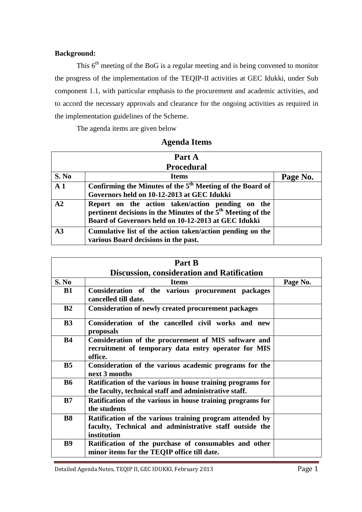#### **Background:**

This  $6<sup>th</sup>$  meeting of the BoG is a regular meeting and is being convened to monitor the progress of the implementation of the TEQIP-II activities at GEC Idukki, under Sub component 1.1, with particular emphasis to the procurement and academic activities, and to accord the necessary approvals and clearance for the ongoing activities as required in the implementation guidelines of the Scheme.

The agenda items are given below

#### **Agenda Items**

|                | Part A<br><b>Procedural</b>                                                                                                                                               |          |  |  |  |  |
|----------------|---------------------------------------------------------------------------------------------------------------------------------------------------------------------------|----------|--|--|--|--|
|                |                                                                                                                                                                           |          |  |  |  |  |
| S. No          | <b>Items</b>                                                                                                                                                              | Page No. |  |  |  |  |
| A <sub>1</sub> | Confirming the Minutes of the 5 <sup>th</sup> Meeting of the Board of<br>Governors held on 10-12-2013 at GEC Idukki                                                       |          |  |  |  |  |
| A2             | Report on the action taken/action pending on the<br>pertinent decisions in the Minutes of the $5th$ Meeting of the<br>Board of Governors held on 10-12-2013 at GEC Idukki |          |  |  |  |  |
| A3             | Cumulative list of the action taken/action pending on the<br>various Board decisions in the past.                                                                         |          |  |  |  |  |

|                | Part B                                                                                                                             |  |  |  |
|----------------|------------------------------------------------------------------------------------------------------------------------------------|--|--|--|
|                | <b>Discussion, consideration and Ratification</b>                                                                                  |  |  |  |
| S. No          | <b>Items</b>                                                                                                                       |  |  |  |
| <b>B1</b>      | Consideration of the various procurement packages<br>cancelled till date.                                                          |  |  |  |
| B2             | <b>Consideration of newly created procurement packages</b>                                                                         |  |  |  |
| B <sub>3</sub> | Consideration of the cancelled civil works and new<br>proposals                                                                    |  |  |  |
| <b>B4</b>      | Consideration of the procurement of MIS software and<br>recruitment of temporary data entry operator for MIS<br>office.            |  |  |  |
| B <sub>5</sub> | Consideration of the various academic programs for the<br>next 3 months                                                            |  |  |  |
| <b>B6</b>      | Ratification of the various in house training programs for<br>the faculty, technical staff and administrative staff.               |  |  |  |
| B7             | Ratification of the various in house training programs for<br>the students                                                         |  |  |  |
| <b>B8</b>      | Ratification of the various training program attended by<br>faculty, Technical and administrative staff outside the<br>institution |  |  |  |
| <b>B9</b>      | Ratification of the purchase of consumables and other<br>minor items for the TEQIP office till date.                               |  |  |  |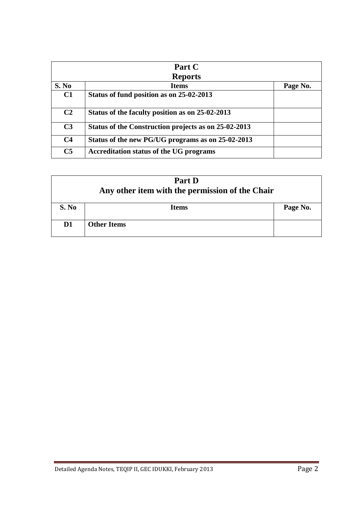|                | Part C                                               |          |
|----------------|------------------------------------------------------|----------|
|                | <b>Reports</b>                                       |          |
| S. No          | <b>Items</b>                                         | Page No. |
| C1             | Status of fund position as on 25-02-2013             |          |
| C <sub>2</sub> | Status of the faculty position as on 25-02-2013      |          |
| C <sub>3</sub> | Status of the Construction projects as on 25-02-2013 |          |
| C <sub>4</sub> | Status of the new PG/UG programs as on 25-02-2013    |          |
| C <sub>5</sub> | Accreditation status of the UG programs              |          |

| Part D<br>Any other item with the permission of the Chair |                    |          |  |
|-----------------------------------------------------------|--------------------|----------|--|
| S. No                                                     | <b>Items</b>       | Page No. |  |
| D <sub>1</sub>                                            | <b>Other Items</b> |          |  |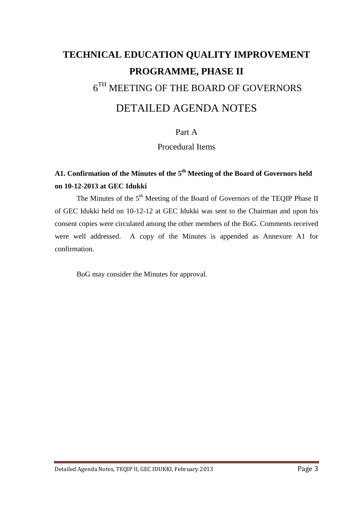# **TECHNICAL EDUCATION QUALITY IMPROVEMENT PROGRAMME, PHASE II**  $6^{TH}$  MEETING OF THE BOARD OF GOVERNORS DETAILED AGENDA NOTES

#### Part A

Procedural Items

# **A1. Confirmation of the Minutes of the 5th Meeting of the Board of Governors held on 10-12-2013 at GEC Idukki**

The Minutes of the  $5<sup>th</sup>$  Meeting of the Board of Governors of the TEQIP Phase II of GEC Idukki held on 10-12-12 at GEC Idukki was sent to the Chairman and upon his consent copies were circulated among the other members of the BoG. Comments received were well addressed. A copy of the Minutes is appended as Annexure A1 for confirmation.

BoG may consider the Minutes for approval.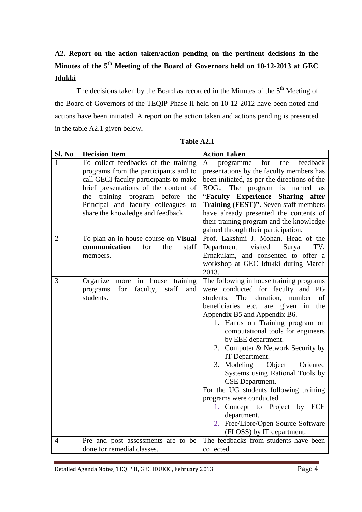# **A2. Report on the action taken/action pending on the pertinent decisions in the Minutes of the 5th Meeting of the Board of Governors held on 10-12-2013 at GEC Idukki**

The decisions taken by the Board as recorded in the Minutes of the  $5<sup>th</sup>$  Meeting of the Board of Governors of the TEQIP Phase II held on 10-12-2012 have been noted and actions have been initiated. A report on the action taken and actions pending is presented in the table A2.1 given below**.** 

| Sl. No              | <b>Decision Item</b>                                                                                                                                                                                                                                                                                                                                              | <b>Action Taken</b>                                                                                                                                                                                                                                                                                                                                                                                                                                                                                                                                                                                                                                   |
|---------------------|-------------------------------------------------------------------------------------------------------------------------------------------------------------------------------------------------------------------------------------------------------------------------------------------------------------------------------------------------------------------|-------------------------------------------------------------------------------------------------------------------------------------------------------------------------------------------------------------------------------------------------------------------------------------------------------------------------------------------------------------------------------------------------------------------------------------------------------------------------------------------------------------------------------------------------------------------------------------------------------------------------------------------------------|
| 1<br>$\overline{2}$ | To collect feedbacks of the training<br>programs from the participants and to<br>call GECI faculty participants to make<br>brief presentations of the content of<br>the training program before<br>the<br>Principal and faculty colleagues to<br>share the knowledge and feedback<br>To plan an in-house course on Visual<br>communication<br>for<br>the<br>staff | for<br>the<br>feedback<br>A<br>programme<br>presentations by the faculty members has<br>been initiated, as per the directions of the<br>BOG The program<br>is<br>named<br>as<br>"Faculty Experience<br>Sharing after<br>Training (FEST)". Seven staff members<br>have already presented the contents of<br>their training program and the knowledge<br>gained through their participation.<br>Prof. Lakshmi J. Mohan, Head of the<br>visited<br>Surya<br>Department<br>TV,                                                                                                                                                                            |
|                     | members.                                                                                                                                                                                                                                                                                                                                                          | Ernakulam, and consented to offer a<br>workshop at GEC Idukki during March<br>2013.                                                                                                                                                                                                                                                                                                                                                                                                                                                                                                                                                                   |
| 3                   | Organize<br>house<br>in<br>training<br>more<br>faculty,<br>staff<br>programs<br>for<br>and<br>students.                                                                                                                                                                                                                                                           | The following in house training programs<br>were conducted for faculty and PG<br>students.<br>The<br>duration,<br>number<br>οf<br>beneficiaries etc.<br>are given in<br>the<br>Appendix B5 and Appendix B6.<br>1. Hands on Training program on<br>computational tools for engineers<br>by EEE department.<br>2. Computer & Network Security by<br>IT Department.<br>Modeling<br>3.<br>Object<br>Oriented<br>Systems using Rational Tools by<br>CSE Department.<br>For the UG students following training<br>programs were conducted<br>1. Concept to Project by ECE<br>department.<br>2. Free/Libre/Open Source Software<br>(FLOSS) by IT department. |
| $\overline{4}$      | Pre and post assessments are to be                                                                                                                                                                                                                                                                                                                                | The feedbacks from students have been                                                                                                                                                                                                                                                                                                                                                                                                                                                                                                                                                                                                                 |
|                     | done for remedial classes.                                                                                                                                                                                                                                                                                                                                        | collected.                                                                                                                                                                                                                                                                                                                                                                                                                                                                                                                                                                                                                                            |

**Table A2.1**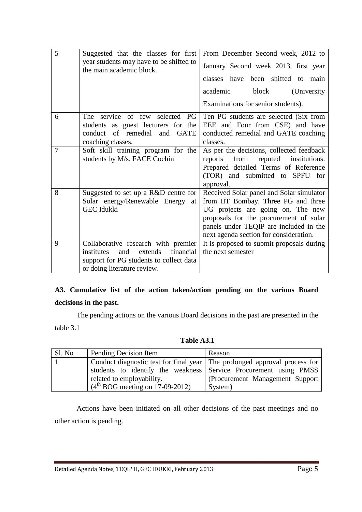| 5              | Suggested that the classes for first<br>year students may have to be shifted to | From December Second week, 2012 to        |
|----------------|---------------------------------------------------------------------------------|-------------------------------------------|
|                | the main academic block.                                                        | January Second week 2013, first year      |
|                |                                                                                 | classes have<br>been shifted to<br>main   |
|                |                                                                                 | academic<br>block<br>(University)         |
|                |                                                                                 | Examinations for senior students).        |
| 6              | The service of few selected<br>PG                                               | Ten PG students are selected (Six from    |
|                | students as guest lecturers for the                                             | EEE and Four from CSE) and have           |
|                | conduct of remedial and GATE                                                    | conducted remedial and GATE coaching      |
|                | coaching classes.                                                               | classes.                                  |
| $\overline{7}$ | Soft skill training program for the                                             | As per the decisions, collected feedback  |
|                | students by M/s. FACE Cochin                                                    | from<br>reputed institutions.<br>reports  |
|                |                                                                                 | Prepared detailed Terms of Reference      |
|                |                                                                                 | (TOR) and submitted to SPFU for           |
|                |                                                                                 | approval.                                 |
| 8              | Suggested to set up a R&D centre for                                            | Received Solar panel and Solar simulator  |
|                | Solar energy/Renewable Energy<br>at                                             | from IIT Bombay. Three PG and three       |
|                | <b>GEC</b> Idukki                                                               | UG projects are going on. The new         |
|                |                                                                                 | proposals for the procurement of solar    |
|                |                                                                                 | panels under TEQIP are included in the    |
|                |                                                                                 | next agenda section for consideration.    |
| 9              | Collaborative research with premier                                             | It is proposed to submit proposals during |
|                | institutes<br>and<br>extends<br>financial                                       | the next semester                         |
|                | support for PG students to collect data                                         |                                           |
|                | or doing literature review.                                                     |                                           |

### **A3. Cumulative list of the action taken/action pending on the various Board decisions in the past.**

The pending actions on the various Board decisions in the past are presented in the

table 3.1

#### **Table A3.1**

| Sl. No | Pending Decision Item                                                       | Reason                           |
|--------|-----------------------------------------------------------------------------|----------------------------------|
|        | Conduct diagnostic test for final year   The prolonged approval process for |                                  |
|        | students to identify the weakness Service Procurement using PMSS            |                                  |
|        | related to employability.                                                   | (Procurement Management Support) |
|        | $(4th$ BOG meeting on 17-09-2012)                                           | System)                          |

Actions have been initiated on all other decisions of the past meetings and no other action is pending.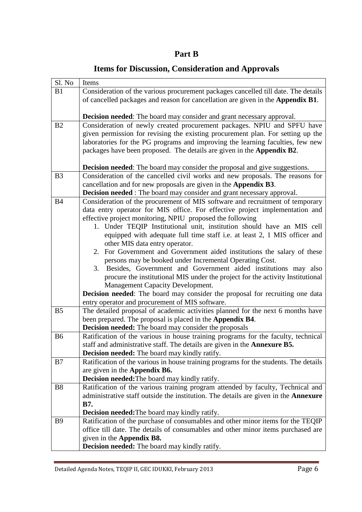# **Part B**

# **Items for Discussion, Consideration and Approvals**

| Sl. No                      | Items                                                                                                                                                                                                                                                                                                                                                                                                                                                                                                                                                                                                                                                                                                                                                                                                                                                                                                                                                                                                                                                 |
|-----------------------------|-------------------------------------------------------------------------------------------------------------------------------------------------------------------------------------------------------------------------------------------------------------------------------------------------------------------------------------------------------------------------------------------------------------------------------------------------------------------------------------------------------------------------------------------------------------------------------------------------------------------------------------------------------------------------------------------------------------------------------------------------------------------------------------------------------------------------------------------------------------------------------------------------------------------------------------------------------------------------------------------------------------------------------------------------------|
| B1                          | Consideration of the various procurement packages cancelled till date. The details<br>of cancelled packages and reason for cancellation are given in the Appendix B1.                                                                                                                                                                                                                                                                                                                                                                                                                                                                                                                                                                                                                                                                                                                                                                                                                                                                                 |
|                             | <b>Decision needed:</b> The board may consider and grant necessary approval.                                                                                                                                                                                                                                                                                                                                                                                                                                                                                                                                                                                                                                                                                                                                                                                                                                                                                                                                                                          |
| B2                          | Consideration of newly created procurement packages. NPIU and SPFU have<br>given permission for revising the existing procurement plan. For setting up the<br>laboratories for the PG programs and improving the learning faculties, few new<br>packages have been proposed. The details are given in the Appendix B2.                                                                                                                                                                                                                                                                                                                                                                                                                                                                                                                                                                                                                                                                                                                                |
|                             | <b>Decision needed:</b> The board may consider the proposal and give suggestions.                                                                                                                                                                                                                                                                                                                                                                                                                                                                                                                                                                                                                                                                                                                                                                                                                                                                                                                                                                     |
| B <sub>3</sub>              | Consideration of the cancelled civil works and new proposals. The reasons for<br>cancellation and for new proposals are given in the <b>Appendix B3</b> .<br><b>Decision needed</b> : The board may consider and grant necessary approval.                                                                                                                                                                                                                                                                                                                                                                                                                                                                                                                                                                                                                                                                                                                                                                                                            |
| <b>B4</b><br>B <sub>5</sub> | Consideration of the procurement of MIS software and recruitment of temporary<br>data entry operator for MIS office. For effective project implementation and<br>effective project monitoring, NPIU proposed the following<br>1. Under TEQIP Institutional unit, institution should have an MIS cell<br>equipped with adequate full time staff i.e. at least 2, 1 MIS officer and<br>other MIS data entry operator.<br>2. For Government and Government aided institutions the salary of these<br>persons may be booked under Incremental Operating Cost.<br>3. Besides, Government and Government aided institutions may also<br>procure the institutional MIS under the project for the activity Institutional<br><b>Management Capacity Development.</b><br><b>Decision needed:</b> The board may consider the proposal for recruiting one data<br>entry operator and procurement of MIS software.<br>The detailed proposal of academic activities planned for the next 6 months have<br>been prepared. The proposal is placed in the Appendix B4. |
|                             | Decision needed: The board may consider the proposals                                                                                                                                                                                                                                                                                                                                                                                                                                                                                                                                                                                                                                                                                                                                                                                                                                                                                                                                                                                                 |
| <b>B6</b>                   | Ratification of the various in house training programs for the faculty, technical<br>staff and administrative staff. The details are given in the Annexure B5.<br>Decision needed: The board may kindly ratify.                                                                                                                                                                                                                                                                                                                                                                                                                                                                                                                                                                                                                                                                                                                                                                                                                                       |
| B7                          | Ratification of the various in house training programs for the students. The details<br>are given in the Appendix B6.<br><b>Decision needed:</b> The board may kindly ratify.                                                                                                                                                                                                                                                                                                                                                                                                                                                                                                                                                                                                                                                                                                                                                                                                                                                                         |
| <b>B8</b>                   | Ratification of the various training program attended by faculty, Technical and<br>administrative staff outside the institution. The details are given in the Annexure<br><b>B7.</b><br><b>Decision needed:</b> The board may kindly ratify.                                                                                                                                                                                                                                                                                                                                                                                                                                                                                                                                                                                                                                                                                                                                                                                                          |
| <b>B9</b>                   | Ratification of the purchase of consumables and other minor items for the TEQIP<br>office till date. The details of consumables and other minor items purchased are<br>given in the <b>Appendix B8.</b><br><b>Decision needed:</b> The board may kindly ratify.                                                                                                                                                                                                                                                                                                                                                                                                                                                                                                                                                                                                                                                                                                                                                                                       |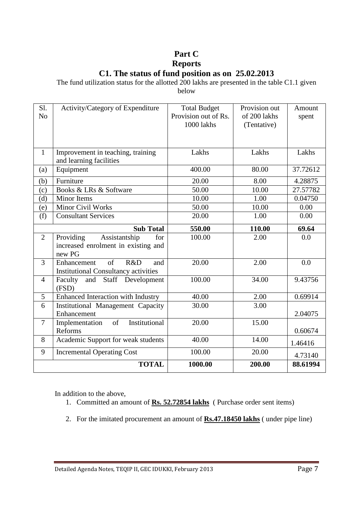### **Part C Reports**

### **C1. The status of fund position as on 25.02.2013**

The fund utilization status for the allotted 200 lakhs are presented in the table C1.1 given

below

| Sl.<br>N <sub>o</sub> | Activity/Category of Expenditure                                                            | <b>Total Budget</b><br>Provision out of Rs.<br>1000 lakhs | Provision out<br>of 200 lakhs<br>(Tentative) | Amount<br>spent |
|-----------------------|---------------------------------------------------------------------------------------------|-----------------------------------------------------------|----------------------------------------------|-----------------|
| $\mathbf{1}$          | Improvement in teaching, training<br>and learning facilities                                | Lakhs                                                     | Lakhs                                        | Lakhs           |
| (a)                   | Equipment                                                                                   | 400.00                                                    | 80.00                                        | 37.72612        |
| (b)                   | Furniture                                                                                   | 20.00                                                     | 8.00                                         | 4.28875         |
| (c)                   | Books & LRs & Software                                                                      | 50.00                                                     | 10.00                                        | 27.57782        |
| (d)                   | <b>Minor Items</b>                                                                          | 10.00                                                     | 1.00                                         | 0.04750         |
| (e)                   | Minor Civil Works                                                                           | 50.00                                                     | 10.00                                        | 0.00            |
| (f)                   | <b>Consultant Services</b>                                                                  | 20.00                                                     | 1.00                                         | 0.00            |
|                       | <b>Sub Total</b>                                                                            | 550.00                                                    | 110.00                                       | 69.64           |
| 2                     | Assistantship<br>Providing<br>for<br>increased enrolment in existing and<br>new PG          | 100.00                                                    | 2.00                                         | 0.0             |
| 3                     | $\overline{of}$<br>R&D<br>Enhancement<br>and<br><b>Institutional Consultancy activities</b> | 20.00                                                     | 2.00                                         | 0.0             |
| $\overline{4}$        | and Staff Development<br>Faculty<br>(FSD)                                                   | 100.00                                                    | 34.00                                        | 9.43756         |
| 5                     | Enhanced Interaction with Industry                                                          | 40.00                                                     | 2.00                                         | 0.69914         |
| 6                     | Institutional Management Capacity<br>Enhancement                                            | 30.00                                                     | 3.00                                         | 2.04075         |
| $\overline{7}$        | of<br>Institutional<br>Implementation<br>Reforms                                            | 20.00                                                     | 15.00                                        | 0.60674         |
| 8                     | Academic Support for weak students                                                          | 40.00                                                     | 14.00                                        | 1.46416         |
| 9                     | <b>Incremental Operating Cost</b>                                                           | 100.00                                                    | 20.00                                        | 4.73140         |
|                       | <b>TOTAL</b>                                                                                | 1000.00                                                   | 200.00                                       | 88.61994        |

In addition to the above,

- 1. Committed an amount of **Rs. 52.72854 lakhs** ( Purchase order sent items)
- 2. For the imitated procurement an amount of **Rs.47.18450 lakhs** ( under pipe line)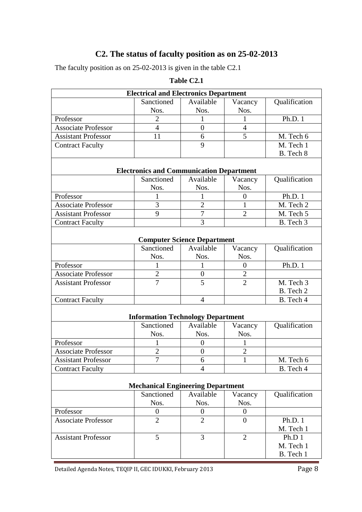# **C2. The status of faculty position as on 25-02-2013**

The faculty position as on 25-02-2013 is given in the table C2.1

| <b>Electrical and Electronics Department</b> |                                                 |                                    |                  |               |
|----------------------------------------------|-------------------------------------------------|------------------------------------|------------------|---------------|
|                                              | Sanctioned                                      | Available                          | Vacancy          | Qualification |
|                                              | Nos.                                            | Nos.                               | Nos.             |               |
| Professor                                    | $\overline{2}$                                  | 1                                  | 1                | Ph.D. 1       |
| <b>Associate Professor</b>                   | $\overline{4}$                                  | $\overline{0}$                     | $\overline{4}$   |               |
| <b>Assistant Professor</b>                   | 11                                              | 6                                  | 5                | M. Tech 6     |
| <b>Contract Faculty</b>                      |                                                 | 9                                  |                  | M. Tech 1     |
|                                              |                                                 |                                    |                  | B. Tech 8     |
|                                              | <b>Electronics and Communication Department</b> |                                    |                  |               |
|                                              | Sanctioned                                      | Available                          | Vacancy          | Qualification |
|                                              | Nos.                                            | Nos.                               | Nos.             |               |
| Professor                                    | 1                                               |                                    | $\overline{0}$   | Ph.D. 1       |
| <b>Associate Professor</b>                   | $\overline{3}$                                  | $\overline{2}$                     | $\mathbf{1}$     | M. Tech 2     |
| <b>Assistant Professor</b>                   | 9                                               | $\overline{7}$                     | $\overline{2}$   | M. Tech 5     |
| <b>Contract Faculty</b>                      |                                                 | 3                                  |                  | B. Tech 3     |
|                                              |                                                 |                                    |                  |               |
|                                              |                                                 | <b>Computer Science Department</b> |                  |               |
|                                              | Sanctioned                                      | Available                          | Vacancy          | Qualification |
|                                              | Nos.                                            | Nos.                               | Nos.             |               |
| Professor                                    | 1                                               | 1                                  | $\overline{0}$   | Ph.D. 1       |
| <b>Associate Professor</b>                   | $\overline{2}$                                  | $\overline{0}$                     | $\overline{2}$   |               |
| <b>Assistant Professor</b>                   | $\overline{7}$                                  | $\overline{5}$                     | $\overline{2}$   | M. Tech 3     |
|                                              |                                                 |                                    |                  | B. Tech 2     |
| <b>Contract Faculty</b>                      |                                                 | 4                                  |                  | B. Tech 4     |
|                                              | <b>Information Technology Department</b>        |                                    |                  |               |
|                                              | Sanctioned                                      | Available                          | Vacancy          | Qualification |
|                                              | Nos.                                            | Nos.                               | Nos.             |               |
| Professor                                    | 1                                               | $\overline{0}$                     | 1                |               |
| <b>Associate Professor</b>                   | $\overline{c}$                                  | $\boldsymbol{0}$                   | $\overline{2}$   |               |
| <b>Assistant Professor</b>                   |                                                 | 6                                  |                  | M. Tech 6     |
| <b>Contract Faculty</b>                      |                                                 | 4                                  |                  | B. Tech 4     |
|                                              |                                                 |                                    |                  |               |
|                                              | <b>Mechanical Engineering Department</b>        |                                    |                  |               |
|                                              | Sanctioned                                      | Available                          | Vacancy          | Qualification |
|                                              | Nos.                                            | Nos.                               | Nos.             |               |
| Professor                                    | $\boldsymbol{0}$                                | $\boldsymbol{0}$                   | $\boldsymbol{0}$ |               |
| <b>Associate Professor</b>                   | $\overline{2}$                                  | $\overline{2}$                     | $\theta$         | Ph.D. 1       |
|                                              |                                                 |                                    |                  | M. Tech 1     |
| <b>Assistant Professor</b>                   | 5                                               | 3                                  | $\overline{2}$   | Ph.D 1        |
|                                              |                                                 |                                    |                  | M. Tech 1     |
|                                              |                                                 |                                    |                  | B. Tech 1     |

#### **Table C2.1**

Detailed Agenda Notes, TEQIP II, GEC IDUKKI, February 2013 Page 8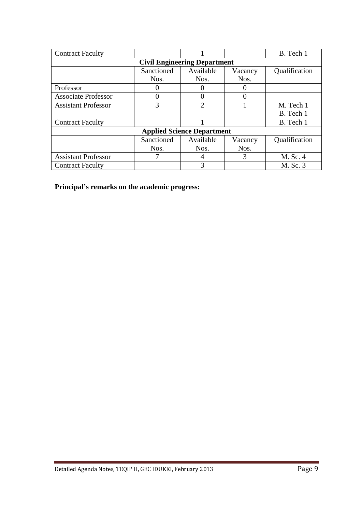| <b>Contract Faculty</b>             |            |                                   |         | B. Tech 1     |  |
|-------------------------------------|------------|-----------------------------------|---------|---------------|--|
| <b>Civil Engineering Department</b> |            |                                   |         |               |  |
|                                     | Sanctioned | Available                         | Vacancy | Qualification |  |
|                                     | Nos.       | Nos.                              | Nos.    |               |  |
| Professor                           |            |                                   |         |               |  |
| <b>Associate Professor</b>          |            |                                   |         |               |  |
| <b>Assistant Professor</b>          | 3          | $\mathfrak{D}$                    |         | M. Tech 1     |  |
|                                     |            |                                   |         | B. Tech 1     |  |
| <b>Contract Faculty</b>             |            |                                   |         | B. Tech 1     |  |
|                                     |            | <b>Applied Science Department</b> |         |               |  |
|                                     | Sanctioned | Available                         | Vacancy | Qualification |  |
|                                     | Nos.       | Nos.                              | Nos.    |               |  |
| <b>Assistant Professor</b>          |            | 4                                 | 3       | M. Sc. 4      |  |
| <b>Contract Faculty</b>             |            | 3                                 |         | M. Sc. 3      |  |

**Principal's remarks on the academic progress:**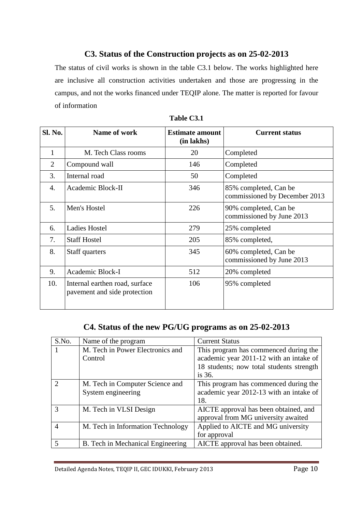### **C3. Status of the Construction projects as on 25-02-2013**

The status of civil works is shown in the table C3.1 below. The works highlighted here are inclusive all construction activities undertaken and those are progressing in the campus, and not the works financed under TEQIP alone. The matter is reported for favour of information

| Sl. No.        | Name of work                                                   | <b>Estimate amount</b><br>(in lakhs) | <b>Current status</b>                                  |
|----------------|----------------------------------------------------------------|--------------------------------------|--------------------------------------------------------|
| $\mathbf{1}$   | M. Tech Class rooms                                            | 20                                   | Completed                                              |
| $\overline{2}$ | Compound wall                                                  | 146                                  | Completed                                              |
| 3.             | Internal road                                                  | 50                                   | Completed                                              |
| 4.             | Academic Block-II                                              | 346                                  | 85% completed, Can be<br>commissioned by December 2013 |
| 5.             | Men's Hostel                                                   | 226                                  | 90% completed, Can be<br>commissioned by June 2013     |
| 6.             | <b>Ladies Hostel</b>                                           | 279                                  | 25% completed                                          |
| 7.             | <b>Staff Hostel</b>                                            | 205                                  | 85% completed,                                         |
| 8.             | Staff quarters                                                 | 345                                  | 60% completed, Can be<br>commissioned by June 2013     |
| 9.             | Academic Block-I                                               | 512                                  | 20% completed                                          |
| 10.            | Internal earthen road, surface<br>pavement and side protection | 106                                  | 95% completed                                          |

| Table C3.1 |  |
|------------|--|
|------------|--|

### **C4. Status of the new PG/UG programs as on 25-02-2013**

| S.No.          | Name of the program                                   | <b>Current Status</b>                                                                                                        |
|----------------|-------------------------------------------------------|------------------------------------------------------------------------------------------------------------------------------|
|                | M. Tech in Power Electronics and<br>Control           | This program has commenced during the<br>academic year 2011-12 with an intake of<br>18 students; now total students strength |
|                |                                                       | is 36.                                                                                                                       |
|                | M. Tech in Computer Science and<br>System engineering | This program has commenced during the<br>academic year 2012-13 with an intake of<br>18.                                      |
|                | M. Tech in VLSI Design                                | AICTE approval has been obtained, and<br>approval from MG university awaited                                                 |
| $\overline{4}$ | M. Tech in Information Technology                     | Applied to AICTE and MG university<br>for approval                                                                           |
|                | B. Tech in Mechanical Engineering                     | AICTE approval has been obtained.                                                                                            |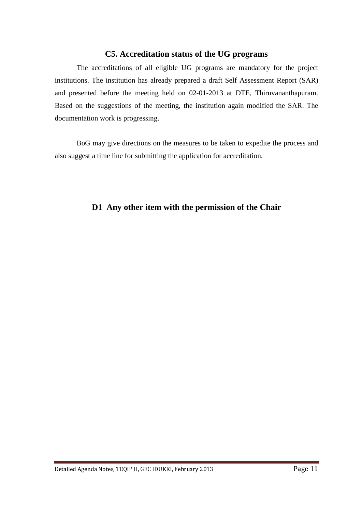#### **C5. Accreditation status of the UG programs**

The accreditations of all eligible UG programs are mandatory for the project institutions. The institution has already prepared a draft Self Assessment Report (SAR) and presented before the meeting held on 02-01-2013 at DTE, Thiruvananthapuram. Based on the suggestions of the meeting, the institution again modified the SAR. The documentation work is progressing.

BoG may give directions on the measures to be taken to expedite the process and also suggest a time line for submitting the application for accreditation.

#### **D1 Any other item with the permission of the Chair**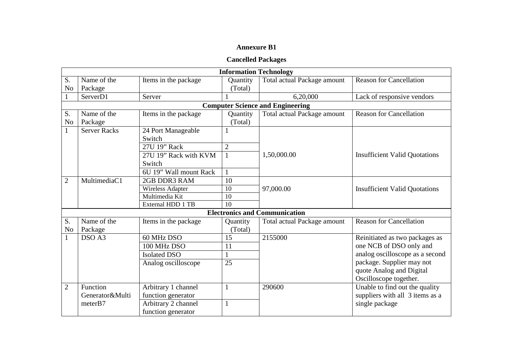#### **Cancelled Packages**

|                      | <b>Information Technology</b> |                              |                     |                                         |                                      |  |  |  |  |  |
|----------------------|-------------------------------|------------------------------|---------------------|-----------------------------------------|--------------------------------------|--|--|--|--|--|
| S.                   | Name of the                   | Items in the package         | Quantity            | Total actual Package amount             | <b>Reason for Cancellation</b>       |  |  |  |  |  |
| N <sub>o</sub>       | Package                       |                              | (Total)             |                                         |                                      |  |  |  |  |  |
|                      | ServerD1                      | Server                       |                     | 6,20,000                                | Lack of responsive vendors           |  |  |  |  |  |
|                      |                               |                              |                     | <b>Computer Science and Engineering</b> |                                      |  |  |  |  |  |
| S.<br>N <sub>o</sub> | Name of the<br>Package        | Items in the package         | Quantity<br>(Total) | Total actual Package amount             | <b>Reason for Cancellation</b>       |  |  |  |  |  |
| $\mathbf{1}$         | <b>Server Racks</b>           | 24 Port Manageable<br>Switch | $\mathbf{1}$        |                                         |                                      |  |  |  |  |  |
|                      |                               | 27U 19" Rack                 | $\overline{2}$      |                                         |                                      |  |  |  |  |  |
|                      |                               | 27U 19" Rack with KVM        | $\mathbf{1}$        | 1,50,000.00                             | <b>Insufficient Valid Quotations</b> |  |  |  |  |  |
|                      |                               | Switch                       |                     |                                         |                                      |  |  |  |  |  |
|                      |                               | 6U 19" Wall mount Rack       | 1                   |                                         |                                      |  |  |  |  |  |
| $\overline{2}$       | MultimediaC1                  | 2GB DDR3 RAM                 | 10                  |                                         |                                      |  |  |  |  |  |
|                      |                               | Wireless Adapter             | 10                  | 97,000.00                               | <b>Insufficient Valid Quotations</b> |  |  |  |  |  |
|                      |                               | Multimedia Kit               | 10                  |                                         |                                      |  |  |  |  |  |
|                      |                               | External HDD 1 TB            | 10                  |                                         |                                      |  |  |  |  |  |
|                      |                               |                              |                     | <b>Electronics and Communication</b>    |                                      |  |  |  |  |  |
| S.                   | Name of the                   | Items in the package         | Quantity            | Total actual Package amount             | <b>Reason for Cancellation</b>       |  |  |  |  |  |
| No                   | Package                       |                              | (Total)             |                                         |                                      |  |  |  |  |  |
| $\mathbf{1}$         | DSO A3                        | 60 MHz DSO                   | 15                  | 2155000                                 | Reinitiated as two packages as       |  |  |  |  |  |
|                      |                               | 100 MHz DSO                  | 11                  |                                         | one NCB of DSO only and              |  |  |  |  |  |
|                      |                               | <b>Isolated DSO</b>          | 1                   |                                         | analog oscilloscope as a second      |  |  |  |  |  |
|                      |                               | Analog oscilloscope          | 25                  |                                         | package. Supplier may not            |  |  |  |  |  |
|                      |                               |                              |                     |                                         | quote Analog and Digital             |  |  |  |  |  |
|                      |                               |                              |                     |                                         | Oscilloscope together.               |  |  |  |  |  |
| $\overline{2}$       | Function                      | Arbitrary 1 channel          | $\mathbf{1}$        | 290600                                  | Unable to find out the quality       |  |  |  |  |  |
|                      | Generator&Multi               | function generator           |                     |                                         | suppliers with all 3 items as a      |  |  |  |  |  |
|                      | meter <sub>B7</sub>           | Arbitrary 2 channel          | $\mathbf{1}$        |                                         | single package                       |  |  |  |  |  |
|                      |                               | function generator           |                     |                                         |                                      |  |  |  |  |  |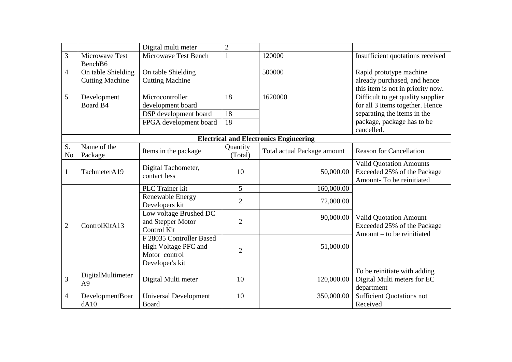|                      |                                       | Digital multi meter                      | $\overline{2}$      |                                               |                                                                   |
|----------------------|---------------------------------------|------------------------------------------|---------------------|-----------------------------------------------|-------------------------------------------------------------------|
| 3                    | Microwave Test<br>BenchB <sub>6</sub> | Microwave Test Bench                     |                     | 120000                                        | Insufficient quotations received                                  |
| $\overline{4}$       | On table Shielding                    | On table Shielding                       |                     | 500000                                        | Rapid prototype machine                                           |
|                      | <b>Cutting Machine</b>                | <b>Cutting Machine</b>                   |                     |                                               | already purchased, and hence<br>this item is not in priority now. |
| 5                    | Development                           | Microcontroller                          | 18                  | 1620000                                       | Difficult to get quality supplier                                 |
|                      | Board B4                              | development board                        |                     |                                               | for all 3 items together. Hence                                   |
|                      |                                       | DSP development board                    | 18                  |                                               | separating the items in the                                       |
|                      |                                       | FPGA development board                   | 18                  |                                               | package, package has to be<br>cancelled.                          |
|                      |                                       |                                          |                     | <b>Electrical and Electronics Engineering</b> |                                                                   |
| S.<br>N <sub>o</sub> | Name of the<br>Package                | Items in the package                     | Quantity<br>(Total) | Total actual Package amount                   | <b>Reason for Cancellation</b>                                    |
|                      |                                       | Digital Tachometer,                      |                     |                                               | <b>Valid Quotation Amounts</b>                                    |
| 1                    | TachmeterA19                          | contact less                             | 10                  | 50,000.00                                     | Exceeded 25% of the Package<br>Amount-To be reinitiated           |
|                      |                                       | <b>PLC</b> Trainer kit                   | 5                   | 160,000.00                                    |                                                                   |
|                      |                                       | <b>Renewable Energy</b>                  | $\overline{2}$      | 72,000.00                                     |                                                                   |
|                      |                                       | Developers kit<br>Low voltage Brushed DC |                     |                                               |                                                                   |
|                      |                                       | and Stepper Motor                        | $\overline{2}$      | 90,000.00                                     | <b>Valid Quotation Amount</b>                                     |
| 2                    | ControlKitA13                         | Control Kit                              |                     |                                               | Exceeded 25% of the Package<br>Amount – to be reinitiated         |
|                      |                                       | F 28035 Controller Based                 |                     |                                               |                                                                   |
|                      |                                       | High Voltage PFC and                     | $\overline{2}$      | 51,000.00                                     |                                                                   |
|                      |                                       | Motor control<br>Developer's kit         |                     |                                               |                                                                   |
|                      |                                       |                                          |                     |                                               | To be reinitiate with adding                                      |
| 3                    | DigitalMultimeter                     | Digital Multi meter                      | 10                  | 120,000.00                                    | Digital Multi meters for EC                                       |
|                      | A <sub>9</sub>                        |                                          |                     |                                               | department                                                        |
| 4                    | DevelopmentBoar                       | <b>Universal Development</b>             | 10                  | 350,000.00                                    | <b>Sufficient Quotations not</b>                                  |
|                      | dA10                                  | Board                                    |                     |                                               | Received                                                          |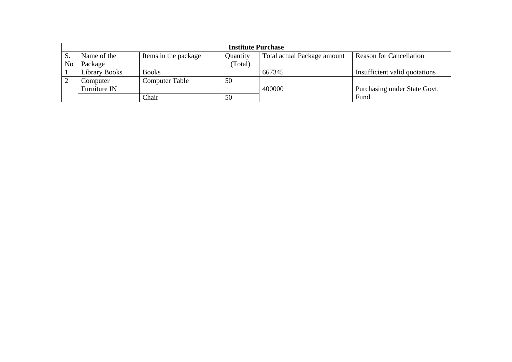|    | <b>Institute Purchase</b> |                       |          |                                    |                                |  |  |  |  |  |  |
|----|---------------------------|-----------------------|----------|------------------------------------|--------------------------------|--|--|--|--|--|--|
|    | Name of the               | Items in the package  | Quantity | <b>Total actual Package amount</b> | <b>Reason for Cancellation</b> |  |  |  |  |  |  |
| No | Package                   |                       | (Total)  |                                    |                                |  |  |  |  |  |  |
|    | <b>Library Books</b>      | <b>Books</b>          |          | 667345                             | Insufficient valid quotations  |  |  |  |  |  |  |
|    | Computer                  | <b>Computer Table</b> | 50       |                                    |                                |  |  |  |  |  |  |
|    | Furniture IN              |                       |          | 400000                             | Purchasing under State Govt.   |  |  |  |  |  |  |
|    |                           | Chair                 | 50       |                                    | Fund                           |  |  |  |  |  |  |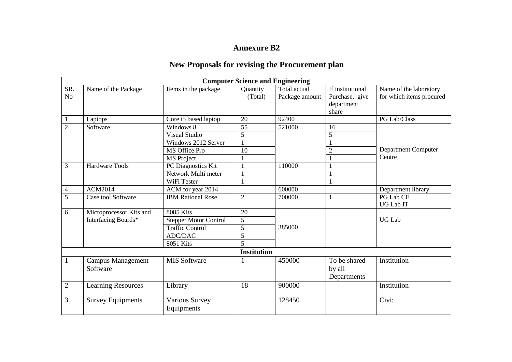# **New Proposals for revising the Procurement plan**

|                       |                               |                              |                     | <b>Computer Science and Engineering</b> |                                                           |                                                    |
|-----------------------|-------------------------------|------------------------------|---------------------|-----------------------------------------|-----------------------------------------------------------|----------------------------------------------------|
| SR.<br>N <sub>o</sub> | Name of the Package           | Items in the package         | Quantity<br>(Total) | Total actual<br>Package amount          | If institutional<br>Purchase, give<br>department<br>share | Name of the laboratory<br>for which items procured |
| $\mathbf{1}$          | Laptops                       | Core i5 based laptop         | 20                  | 92400                                   |                                                           | PG Lab/Class                                       |
| $\overline{2}$        | Software                      | Windows 8                    | $\overline{55}$     | 521000                                  | 16                                                        |                                                    |
|                       |                               | <b>Visual Studio</b>         | $\overline{5}$      |                                         | $\overline{5}$                                            |                                                    |
|                       |                               | Windows 2012 Server          |                     |                                         |                                                           |                                                    |
|                       |                               | MS Office Pro                | 10                  |                                         | $\overline{2}$                                            | <b>Department Computer</b>                         |
|                       |                               | <b>MS</b> Project            |                     |                                         |                                                           | Centre                                             |
| 3                     | <b>Hardware Tools</b>         | PC Diagnostics Kit           | 1                   | 110000                                  |                                                           |                                                    |
|                       |                               | Network Multi meter          | $\overline{1}$      |                                         |                                                           |                                                    |
|                       |                               | WiFi Tester                  |                     |                                         |                                                           |                                                    |
| $\overline{4}$        | <b>ACM2014</b>                | ACM for year 2014            |                     | 600000                                  |                                                           | Department library                                 |
| $\overline{5}$        | Case tool Software            | <b>IBM Rational Rose</b>     | $\overline{2}$      | 700000                                  | 1                                                         | PG Lab CE<br>UG Lab IT                             |
| 6                     | Microprocessor Kits and       | $8085$ Kits                  | 20                  |                                         |                                                           |                                                    |
|                       | Interfacing Boards*           | Stepper Motor Control        | 5                   |                                         |                                                           | <b>UG Lab</b>                                      |
|                       |                               | <b>Traffic Control</b>       | 5                   | 385000                                  |                                                           |                                                    |
|                       |                               | ADC/DAC                      | 5                   |                                         |                                                           |                                                    |
|                       |                               | 8051 Kits                    | 5                   |                                         |                                                           |                                                    |
|                       |                               |                              | <b>Institution</b>  |                                         |                                                           |                                                    |
| $\mathbf{1}$          | Campus Management<br>Software | <b>MIS Software</b>          | -1                  | 450000                                  | To be shared<br>by all<br>Departments                     | Institution                                        |
| $\overline{2}$        | <b>Learning Resources</b>     | Library                      | 18                  | 900000                                  |                                                           | Institution                                        |
| 3                     | <b>Survey Equipments</b>      | Various Survey<br>Equipments |                     | 128450                                  |                                                           | Civi;                                              |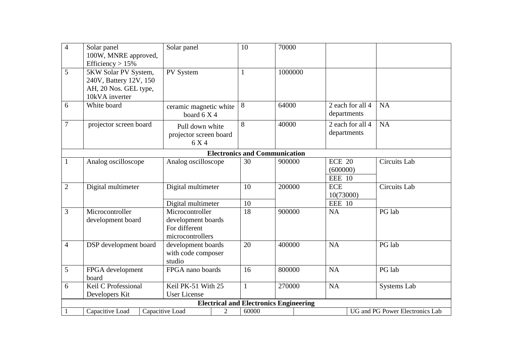| $\overline{4}$ | Solar panel<br>100W, MNRE approved,<br>Efficiency $> 15%$                                 | Solar panel                                                                | 10           | 70000                                         |                                            |                                 |
|----------------|-------------------------------------------------------------------------------------------|----------------------------------------------------------------------------|--------------|-----------------------------------------------|--------------------------------------------|---------------------------------|
| 5              | 5KW Solar PV System,<br>240V, Battery 12V, 150<br>AH, 20 Nos. GEL type,<br>10kVA inverter | PV System                                                                  | $\mathbf{1}$ | 1000000                                       |                                            |                                 |
| 6              | White board                                                                               | ceramic magnetic white<br>board 6 X 4                                      | 8            | 64000                                         | 2 each for all 4<br>departments            | NA                              |
| $\overline{7}$ | projector screen board                                                                    | Pull down white<br>projector screen board<br>6 X 4                         | 8            | 40000                                         | 2 each for all 4<br>departments            | NA                              |
|                |                                                                                           |                                                                            |              | <b>Electronics and Communication</b>          |                                            |                                 |
| $\mathbf{1}$   | Analog oscilloscope                                                                       | Analog oscilloscope                                                        | 30           | 900000                                        | <b>ECE 20</b><br>(600000)<br><b>EEE 10</b> | Circuits Lab                    |
| $\overline{2}$ | Digital multimeter                                                                        | Digital multimeter                                                         | 10           | 200000                                        | <b>ECE</b><br>10(73000)                    | <b>Circuits Lab</b>             |
|                |                                                                                           | Digital multimeter                                                         | 10           |                                               | <b>EEE 10</b>                              |                                 |
| 3              | Microcontroller<br>development board                                                      | Microcontroller<br>development boards<br>For different<br>microcontrollers | 18           | 900000                                        | <b>NA</b>                                  | PG lab                          |
| $\overline{4}$ | DSP development board                                                                     | development boards<br>with code composer<br>studio                         | 20           | 400000                                        | <b>NA</b>                                  | PG lab                          |
| 5              | FPGA development<br>board                                                                 | FPGA nano boards                                                           | 16           | 800000                                        | <b>NA</b>                                  | PG lab                          |
| 6              | Keil C Professional<br>Developers Kit                                                     | Keil PK-51 With 25<br><b>User License</b>                                  | $\mathbf{1}$ | 270000                                        | <b>NA</b>                                  | <b>Systems Lab</b>              |
|                |                                                                                           |                                                                            |              | <b>Electrical and Electronics Engineering</b> |                                            |                                 |
|                | Capacitive Load                                                                           | $\overline{2}$<br>Capacitive Load                                          | 60000        |                                               |                                            | UG and PG Power Electronics Lab |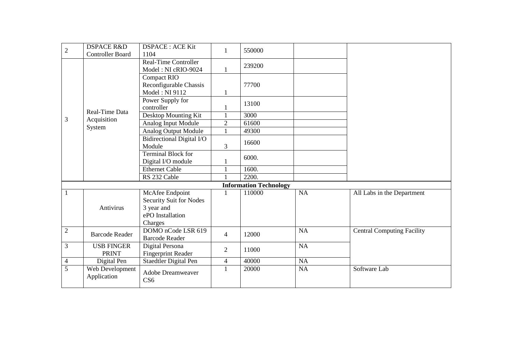| $\overline{2}$ | <b>DSPACE R&amp;D</b>   | <b>DSPACE : ACE Kit</b>          | 1              | 550000                        |           |                                   |
|----------------|-------------------------|----------------------------------|----------------|-------------------------------|-----------|-----------------------------------|
|                | <b>Controller Board</b> | 1104                             |                |                               |           |                                   |
|                |                         | <b>Real-Time Controller</b>      |                | 239200                        |           |                                   |
|                |                         | Model: NI cRIO-9024              | 1              |                               |           |                                   |
|                |                         | <b>Compact RIO</b>               |                |                               |           |                                   |
|                |                         | Reconfigurable Chassis           |                | 77700                         |           |                                   |
|                |                         | Model: NI 9112                   | 1              |                               |           |                                   |
|                |                         | Power Supply for                 |                | 13100                         |           |                                   |
|                | Real-Time Data          | controller                       |                |                               |           |                                   |
| 3              | Acquisition             | Desktop Mounting Kit             | $\mathbf{1}$   | 3000                          |           |                                   |
|                |                         | Analog Input Module              | $\overline{2}$ | 61600                         |           |                                   |
|                | System                  | <b>Analog Output Module</b>      | $\mathbf{1}$   | 49300                         |           |                                   |
|                |                         | <b>Bidirectional Digital I/O</b> |                | 16600                         |           |                                   |
|                |                         | Module                           | 3              |                               |           |                                   |
|                |                         | <b>Terminal Block for</b>        |                | 6000.                         |           |                                   |
|                |                         | Digital I/O module               |                |                               |           |                                   |
|                |                         | <b>Ethernet Cable</b>            | $\mathbf{1}$   | 1600.                         |           |                                   |
|                |                         | RS 232 Cable                     |                | 2200.                         |           |                                   |
|                |                         |                                  |                | <b>Information Technology</b> |           |                                   |
|                |                         | McAfee Endpoint                  | 1              | 110000                        | <b>NA</b> | All Labs in the Department        |
|                |                         | <b>Security Suit for Nodes</b>   |                |                               |           |                                   |
|                | Antivirus               | 3 year and                       |                |                               |           |                                   |
|                |                         | ePO Installation                 |                |                               |           |                                   |
|                |                         | Charges                          |                |                               |           |                                   |
| $\sqrt{2}$     | <b>Barcode Reader</b>   | DOMO nCode LSR 619               | $\overline{4}$ | 12000                         | <b>NA</b> | <b>Central Computing Facility</b> |
|                |                         | <b>Barcode Reader</b>            |                |                               |           |                                   |
| $\mathfrak{Z}$ | <b>USB FINGER</b>       | Digital Persona                  |                | 11000                         | <b>NA</b> |                                   |
|                | <b>PRINT</b>            | <b>Fingerprint Reader</b>        | 2              |                               |           |                                   |
| $\overline{4}$ | Digital Pen             | Staedtler Digital Pen            | $\overline{4}$ | 40000                         | <b>NA</b> |                                   |
| $\overline{5}$ | Web Development         | Adobe Dreamweaver                | $\mathbf{1}$   | 20000                         | <b>NA</b> | Software Lab                      |
|                | Application             | CS <sub>6</sub>                  |                |                               |           |                                   |
|                |                         |                                  |                |                               |           |                                   |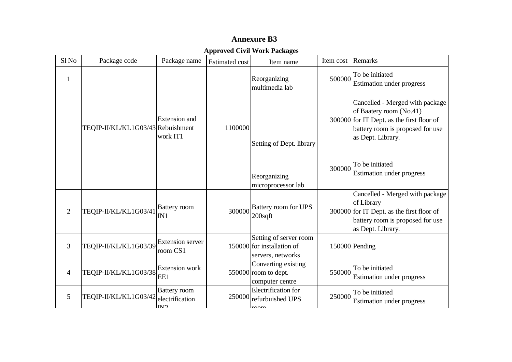### **Approved Civil Work Packages**

| Sl <sub>No</sub> | Package code                      | Package name                                          | <b>Estimated cost</b> | Item name                                                                 | Item cost | Remarks                                                                                                                                                            |
|------------------|-----------------------------------|-------------------------------------------------------|-----------------------|---------------------------------------------------------------------------|-----------|--------------------------------------------------------------------------------------------------------------------------------------------------------------------|
| $\mathbf{1}$     |                                   |                                                       |                       | Reorganizing<br>multimedia lab                                            | 500000    | To be initiated<br><b>Estimation under progress</b>                                                                                                                |
|                  | TEQIP-II/KL/KL1G03/43 Rebuishment | <b>Extension</b> and<br>work IT1                      | 1100000               | Setting of Dept. library                                                  |           | Cancelled - Merged with package<br>of Baatery room (No.41)<br>$300000$ for IT Dept. as the first floor of<br>battery room is proposed for use<br>as Dept. Library. |
|                  |                                   |                                                       |                       | Reorganizing<br>microprocessor lab                                        | 300000    | To be initiated<br><b>Estimation under progress</b>                                                                                                                |
| 2                | TEQIP-II/KL/KL1G03/41             | <b>Battery</b> room<br>IN1                            | 300000                | Battery room for UPS<br>$200$ sqft                                        |           | Cancelled - Merged with package<br>of Library<br>$300000$ for IT Dept. as the first floor of<br>battery room is proposed for use<br>as Dept. Library.              |
| 3                | TEQIP-II/KL/KL1G03/39             | <b>Extension server</b><br>room CS1                   |                       | Setting of server room<br>150000 for installation of<br>servers, networks |           | 150000 Pending                                                                                                                                                     |
| $\overline{4}$   | TEQIP-II/KL/KL1G03/38             | <b>Extension</b> work<br>EE1                          |                       | Converting existing<br>550000 room to dept.<br>computer centre            | 550000    | To be initiated<br><b>Estimation under progress</b>                                                                                                                |
| 5                | TEQIP-II/KL/KL1G03/42             | <b>Battery</b> room<br>electrification<br><b>INTO</b> | 250000                | Electrification for<br>refurbuished UPS                                   | 250000    | To be initiated<br><b>Estimation under progress</b>                                                                                                                |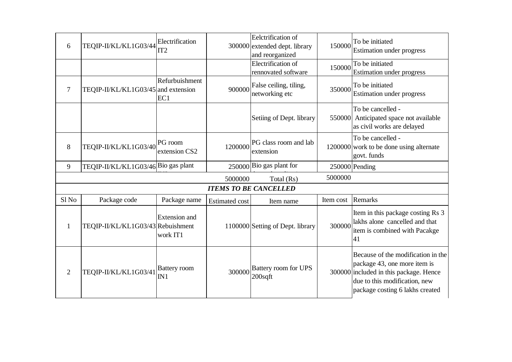| 6                | TEQIP-II/KL/KL1G03/44               | Electrification<br>IT <sub>2</sub> |                       | Eelctrification of<br>300000 extended dept. library<br>and reorganized | 150000    | To be initiated<br><b>Estimation under progress</b>                                                                                                                              |
|------------------|-------------------------------------|------------------------------------|-----------------------|------------------------------------------------------------------------|-----------|----------------------------------------------------------------------------------------------------------------------------------------------------------------------------------|
|                  |                                     |                                    |                       | Electrification of<br>rennovated software                              | 150000    | To be initiated<br><b>Estimation under progress</b>                                                                                                                              |
| $\overline{7}$   | TEQIP-II/KL/KL1G03/45 and extension | Refurbuishment<br>EC1              | 900000                | False ceiling, tiling,<br>networking etc                               | 350000    | To be initiated<br><b>Estimation under progress</b>                                                                                                                              |
|                  |                                     |                                    |                       | Setiing of Dept. library                                               | 550000    | To be cancelled -<br>Anticipated space not available<br>as civil works are delayed                                                                                               |
| 8                | TEQIP-II/KL/KL1G03/40               | PG room<br>extension CS2           | 1200000               | PG class room and lab<br>extension                                     |           | To be cancelled -<br>1200000 work to be done using alternate<br>govt. funds                                                                                                      |
| 9                | TEQIP-II/KL/KL1G03/46 Bio gas plant |                                    |                       | 250000 Bio gas plant for                                               |           | 250000 Pending                                                                                                                                                                   |
|                  |                                     |                                    | 5000000               | Total (Rs)                                                             | 5000000   |                                                                                                                                                                                  |
|                  |                                     |                                    |                       | <b>ITEMS TO BE CANCELLED</b>                                           |           |                                                                                                                                                                                  |
| Sl <sub>No</sub> | Package code                        | Package name                       | <b>Estimated cost</b> | Item name                                                              | Item cost | Remarks                                                                                                                                                                          |
| 1                | TEQIP-II/KL/KL1G03/43 Rebuishment   | Extension and<br>work IT1          |                       | 1100000 Setting of Dept. library                                       | 300000    | Item in this package costing Rs 3<br>lakhs alone cancelled and that<br>item is combined with Pacakge<br>41                                                                       |
| $\overline{2}$   | TEQIP-II/KL/KL1G03/41               | <b>Battery</b> room<br>IN1         | 300000                | Battery room for UPS<br>200sqft                                        |           | Because of the modification in the<br>package 43, one more item is<br>300000 included in this package. Hence<br>due to this modification, new<br>package costing 6 lakhs created |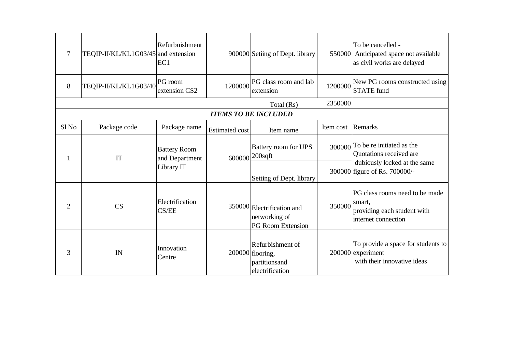| 7                | TEQIP-II/KL/KL1G03/45 and extension | Refurbuishment<br>EC1                 |                       | 900000 Setting of Dept. library                                           |           | To be cancelled -<br>550000 Anticipated space not available<br>as civil works are delayed      |
|------------------|-------------------------------------|---------------------------------------|-----------------------|---------------------------------------------------------------------------|-----------|------------------------------------------------------------------------------------------------|
| 8                | TEQIP-II/KL/KL1G03/40               | PG room<br>extension CS2              | 1200000               | PG class room and lab<br>extension                                        | 1200000   | New PG rooms constructed using<br><b>STATE</b> fund                                            |
|                  |                                     |                                       |                       | Total (Rs)                                                                | 2350000   |                                                                                                |
|                  |                                     |                                       |                       | <b>ITEMS TO BE INCLUDED</b>                                               |           |                                                                                                |
| Sl <sub>No</sub> | Package code                        | Package name                          | <b>Estimated cost</b> | Item name                                                                 | Item cost | Remarks                                                                                        |
| 1                | IT                                  | <b>Battery Room</b><br>and Department |                       | Battery room for UPS<br>600000 200sqft                                    | 300000    | To be re initiated as the<br>Quotations received are                                           |
|                  |                                     | Library IT                            |                       | Setting of Dept. library                                                  |           | dubiously locked at the same<br>300000 figure of Rs. 700000/-                                  |
| $\overline{2}$   | CS                                  | Electrification<br>CS/EE              |                       | 350000 Electrification and<br>networking of<br><b>PG Room Extension</b>   | 350000    | PG class rooms need to be made<br>smart,<br>providing each student with<br>internet connection |
| 3                | IN                                  | Innovation<br>Centre                  |                       | Refurbishment of<br>200000 flooring,<br>partitions and<br>electrification |           | To provide a space for students to<br>200000 experiment<br>with their innovative ideas         |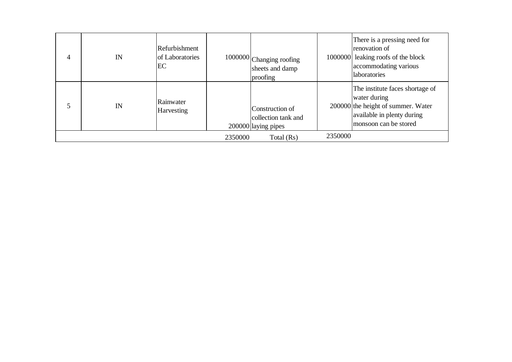| $\overline{4}$ | IN | Refurbishment<br>of Laboratories<br>EC |         | 1000000 Changing roofing<br>sheets and damp<br>proofing       |         | There is a pressing need for<br>renovation of<br>1000000 leaking roofs of the block<br>accommodating various<br>laboratories                   |
|----------------|----|----------------------------------------|---------|---------------------------------------------------------------|---------|------------------------------------------------------------------------------------------------------------------------------------------------|
|                | IN | Rainwater<br><b>Harvesting</b>         |         | Construction of<br>collection tank and<br>200000 laying pipes |         | The institute faces shortage of<br>water during<br>$200000$ the height of summer. Water<br>available in plenty during<br>monsoon can be stored |
|                |    |                                        | 2350000 | Total (Rs)                                                    | 2350000 |                                                                                                                                                |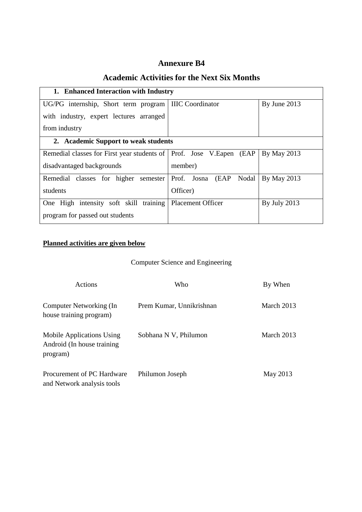### **Academic Activities for the Next Six Months**

| 1. Enhanced Interaction with Industry                                  |                           |              |  |  |
|------------------------------------------------------------------------|---------------------------|--------------|--|--|
| UG/PG internship, Short term program   IIIC Coordinator                |                           | By June 2013 |  |  |
| with industry, expert lectures arranged                                |                           |              |  |  |
| from industry                                                          |                           |              |  |  |
| 2. Academic Support to weak students                                   |                           |              |  |  |
| Remedial classes for First year students of   Prof. Jose V. Eapen (EAP |                           | By May 2013  |  |  |
| disadvantaged backgrounds                                              | member)                   |              |  |  |
| Remedial classes for higher semester                                   | Prof. Josna (EAP<br>Nodal | By May 2013  |  |  |
| students                                                               | Officer)                  |              |  |  |
| One High intensity soft skill training                                 | <b>Placement Officer</b>  | By July 2013 |  |  |
| program for passed out students                                        |                           |              |  |  |

#### **Planned activities are given below**

#### Computer Science and Engineering

| Actions                                                              | Who                      | By When    |
|----------------------------------------------------------------------|--------------------------|------------|
| Computer Networking (In<br>house training program)                   | Prem Kumar, Unnikrishnan | March 2013 |
| Mobile Applications Using<br>Android (In house training)<br>program) | Sobhana N V, Philumon    | March 2013 |
| Procurement of PC Hardware<br>and Network analysis tools             | Philumon Joseph          | May 2013   |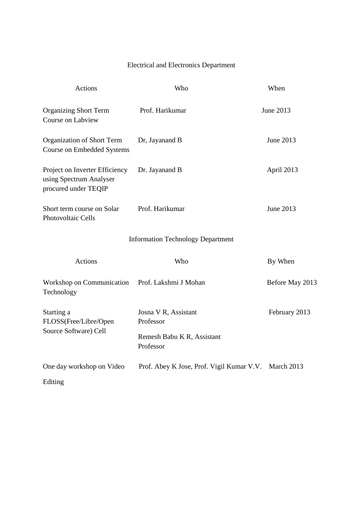### Electrical and Electronics Department

| Actions                                                                           | Who                                                                          | When            |
|-----------------------------------------------------------------------------------|------------------------------------------------------------------------------|-----------------|
| <b>Organizing Short Term</b><br>Course on Labview                                 | Prof. Harikumar                                                              | June 2013       |
| Organization of Short Term<br><b>Course on Embedded Systems</b>                   | Dr, Jayanand B                                                               | June 2013       |
| Project on Inverter Efficiency<br>using Spectrum Analyser<br>procured under TEQIP | Dr. Jayanand B                                                               | April 2013      |
| Short term course on Solar<br>Prof. Harikumar<br>Photovoltaic Cells               |                                                                              | June 2013       |
|                                                                                   | <b>Information Technology Department</b>                                     |                 |
| Actions                                                                           | Who                                                                          | By When         |
| Workshop on Communication<br>Technology                                           | Prof. Lakshmi J Mohan                                                        | Before May 2013 |
| Starting a<br>FLOSS(Free/Libre/Open<br>Source Software) Cell                      | Josna V R, Assistant<br>Professor<br>Remesh Babu K R, Assistant<br>Professor | February 2013   |
| One day workshop on Video                                                         | Prof. Abey K Jose, Prof. Vigil Kumar V.V.                                    | March 2013      |
| Editing                                                                           |                                                                              |                 |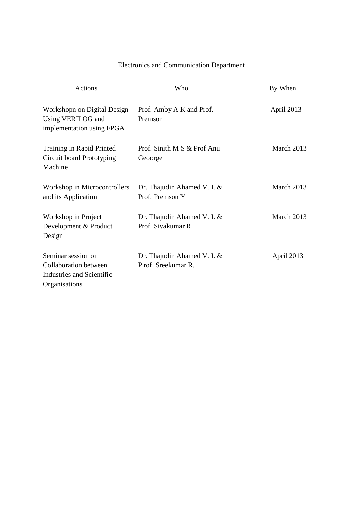### Electronics and Communication Department

| Actions                                                                                   | Who                                                | By When    |
|-------------------------------------------------------------------------------------------|----------------------------------------------------|------------|
| Workshopn on Digital Design<br>Using VERILOG and<br>implementation using FPGA             | Prof. Amby A K and Prof.<br>Premson                | April 2013 |
| Training in Rapid Printed<br>Circuit board Prototyping<br>Machine                         | Prof. Sinith M S & Prof Anu<br>Geoorge             | March 2013 |
| Workshop in Microcontrollers<br>and its Application                                       | Dr. Thajudin Ahamed V. I. &<br>Prof. Premson Y     | March 2013 |
| Workshop in Project<br>Development & Product<br>Design                                    | Dr. Thajudin Ahamed V. I. &<br>Prof. Sivakumar R   | March 2013 |
| Seminar session on<br>Collaboration between<br>Industries and Scientific<br>Organisations | Dr. Thajudin Ahamed V. I. &<br>P rof. Sreekumar R. | April 2013 |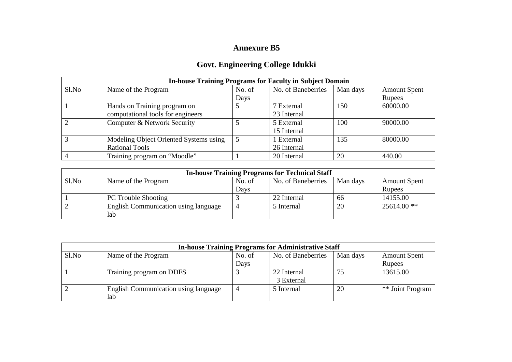# **Govt. Engineering College Idukki**

|       | <b>In-house Training Programs for Faculty in Subject Domain</b> |        |                    |          |                     |  |
|-------|-----------------------------------------------------------------|--------|--------------------|----------|---------------------|--|
| Sl.No | Name of the Program                                             | No. of | No. of Baneberries | Man days | <b>Amount Spent</b> |  |
|       |                                                                 | Days   |                    |          | <b>Rupees</b>       |  |
|       | Hands on Training program on                                    |        | 7 External         | 150      | 60000.00            |  |
|       | computational tools for engineers                               |        | 23 Internal        |          |                     |  |
|       | Computer & Network Security                                     |        | 5 External         | 100      | 90000.00            |  |
|       |                                                                 |        | 15 Internal        |          |                     |  |
|       | Modeling Object Oriented Systems using                          |        | 1 External         | 135      | 80000.00            |  |
|       | <b>Rational Tools</b>                                           |        | 26 Internal        |          |                     |  |
|       | Training program on "Moodle"                                    |        | 20 Internal        | 20       | 440.00              |  |

| <b>In-house Training Programs for Technical Staff</b> |                                                                 |      |             |    |               |  |  |
|-------------------------------------------------------|-----------------------------------------------------------------|------|-------------|----|---------------|--|--|
| Sl.No                                                 | No. of Baneberries<br>No. of<br>Man days<br>Name of the Program |      |             |    |               |  |  |
|                                                       |                                                                 | Days |             |    | <b>Rupees</b> |  |  |
|                                                       | <b>PC</b> Trouble Shooting                                      |      | 22 Internal | 66 | 14155.00      |  |  |
|                                                       | English Communication using language                            |      | 5 Internal  | 20 | $25614.00$ ** |  |  |
|                                                       | lab                                                             |      |             |    |               |  |  |

|       | <b>In-house Training Programs for Administrative Staff</b> |        |                    |          |                     |  |
|-------|------------------------------------------------------------|--------|--------------------|----------|---------------------|--|
| Sl.No | Name of the Program                                        | No. of | No. of Baneberries | Man days | <b>Amount Spent</b> |  |
|       |                                                            | Days   |                    |          | <b>Rupees</b>       |  |
|       | Training program on DDFS                                   |        | 22 Internal        | 75       | 13615.00            |  |
|       |                                                            |        | 3 External         |          |                     |  |
|       | <b>English Communication using language</b>                | 4      | 5 Internal         | 20       | ** Joint Program    |  |
|       | lab                                                        |        |                    |          |                     |  |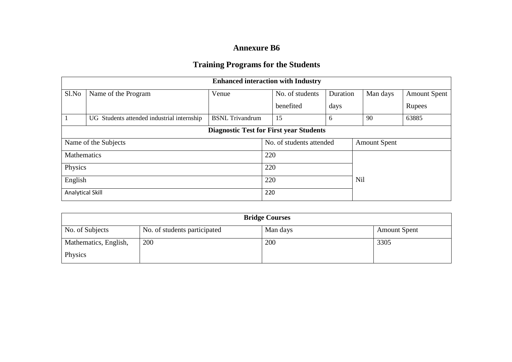# **Training Programs for the Students**

|                         | <b>Enhanced interaction with Industry</b>      |                        |                                                 |          |            |                     |  |
|-------------------------|------------------------------------------------|------------------------|-------------------------------------------------|----------|------------|---------------------|--|
| Sl.No                   | Name of the Program                            | Venue                  | No. of students                                 | Duration | Man days   | <b>Amount Spent</b> |  |
|                         |                                                |                        | benefited                                       | days     |            | Rupees              |  |
|                         | UG Students attended industrial internship     | <b>BSNL</b> Trivandrum | 15                                              | 6        | 90         | 63885               |  |
|                         | <b>Diagnostic Test for First year Students</b> |                        |                                                 |          |            |                     |  |
| Name of the Subjects    |                                                |                        | No. of students attended<br><b>Amount Spent</b> |          |            |                     |  |
| Mathematics             |                                                |                        | 220                                             |          |            |                     |  |
| Physics                 |                                                |                        | 220                                             |          |            |                     |  |
| English                 |                                                |                        | 220                                             |          | <b>Nil</b> |                     |  |
| <b>Analytical Skill</b> |                                                | 220                    |                                                 |          |            |                     |  |

| <b>Bridge Courses</b> |                              |          |                     |  |
|-----------------------|------------------------------|----------|---------------------|--|
| No. of Subjects       | No. of students participated | Man days | <b>Amount Spent</b> |  |
| Mathematics, English, | 200                          | 200      | 3305                |  |
| Physics               |                              |          |                     |  |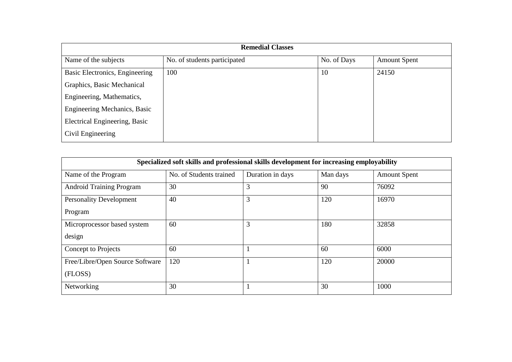| <b>Remedial Classes</b>             |                              |             |                     |  |  |
|-------------------------------------|------------------------------|-------------|---------------------|--|--|
| Name of the subjects                | No. of students participated | No. of Days | <b>Amount Spent</b> |  |  |
| Basic Electronics, Engineering      | 100                          | 10          | 24150               |  |  |
| Graphics, Basic Mechanical          |                              |             |                     |  |  |
| Engineering, Mathematics,           |                              |             |                     |  |  |
| <b>Engineering Mechanics, Basic</b> |                              |             |                     |  |  |
| Electrical Engineering, Basic       |                              |             |                     |  |  |
| Civil Engineering                   |                              |             |                     |  |  |

| Specialized soft skills and professional skills development for increasing employability |                         |                  |          |                     |
|------------------------------------------------------------------------------------------|-------------------------|------------------|----------|---------------------|
| Name of the Program                                                                      | No. of Students trained | Duration in days | Man days | <b>Amount Spent</b> |
| <b>Android Training Program</b>                                                          | 30                      | 3                | 90       | 76092               |
| <b>Personality Development</b>                                                           | 40                      | 3                | 120      | 16970               |
| Program                                                                                  |                         |                  |          |                     |
| Microprocessor based system                                                              | 60                      | 3                | 180      | 32858               |
| design                                                                                   |                         |                  |          |                     |
| Concept to Projects                                                                      | 60                      |                  | 60       | 6000                |
| Free/Libre/Open Source Software                                                          | 120                     |                  | 120      | 20000               |
| (FLOSS)                                                                                  |                         |                  |          |                     |
| Networking                                                                               | 30                      |                  | 30       | 1000                |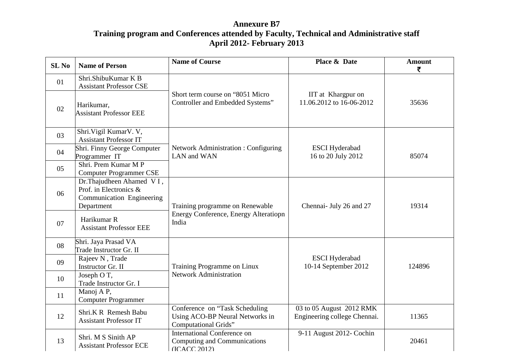#### **Annexure B7 Training program and Conferences attended by Faculty, Technical and Administrative staff April 2012- February 2013**

| SL <sub>No</sub> | <b>Name of Person</b>                                                                         | <b>Name of Course</b>                                                                            | Place & Date                                             | <b>Amount</b><br>₹ |
|------------------|-----------------------------------------------------------------------------------------------|--------------------------------------------------------------------------------------------------|----------------------------------------------------------|--------------------|
| 01               | Shri.ShibuKumar K B<br><b>Assistant Professor CSE</b>                                         |                                                                                                  |                                                          |                    |
| 02               | Harikumar,<br><b>Assistant Professor EEE</b>                                                  | Short term course on "8051 Micro"<br>Controller and Embedded Systems"                            | IIT at Khargpur on<br>11.06.2012 to 16-06-2012           | 35636              |
| 03               | Shri. Vigil KumarV. V,<br><b>Assistant Professor IT</b>                                       |                                                                                                  |                                                          |                    |
| 04               | Shri. Finny George Computer<br>Programmer IT                                                  | <b>Network Administration: Configuring</b><br>LAN and WAN                                        | <b>ESCI</b> Hyderabad<br>16 to 20 July 2012              | 85074              |
| 05               | Shri. Prem Kumar M P<br><b>Computer Programmer CSE</b>                                        |                                                                                                  |                                                          |                    |
| 06               | Dr.Thajudheen Ahamed VI,<br>Prof. in Electronics &<br>Communication Engineering<br>Department | Training programme on Renewable                                                                  | Chennai- July 26 and 27                                  | 19314              |
| 07               | Harikumar R<br><b>Assistant Professor EEE</b>                                                 | <b>Energy Conference, Energy Alteratiopn</b><br>India                                            |                                                          |                    |
| 08               | Shri. Jaya Prasad VA<br>Trade Instructor Gr. II                                               |                                                                                                  |                                                          |                    |
| 09               | Rajeev N, Trade<br>Instructor Gr. II                                                          | Training Programme on Linux                                                                      | <b>ESCI</b> Hyderabad<br>10-14 September 2012            | 124896             |
| 10               | Joseph O T,<br>Trade Instructor Gr. I                                                         | <b>Network Administration</b>                                                                    |                                                          |                    |
| 11               | Manoj A P,<br><b>Computer Programmer</b>                                                      |                                                                                                  |                                                          |                    |
| 12               | Shri.K R Remesh Babu<br><b>Assistant Professor IT</b>                                         | Conference on "Task Scheduling<br>Using ACO-BP Neural Networks in<br><b>Computational Grids"</b> | 03 to 05 August 2012 RMK<br>Engineering college Chennai. | 11365              |
| 13               | Shri. M S Sinith AP<br><b>Assistant Professor ECE</b>                                         | <b>International Conference on</b><br>Computing and Communications<br>(ICACC 2012)               | 9-11 August 2012- Cochin                                 | 20461              |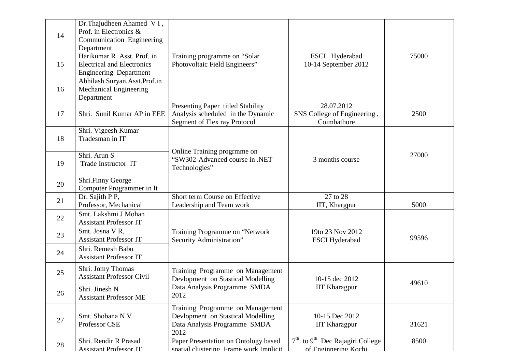| 14 | Dr.Thajudheen Ahamed VI,<br>Prof. in Electronics &<br>Communication Engineering<br>Department    |                                                                                                               | ESCI Hyderabad                                                        |       |
|----|--------------------------------------------------------------------------------------------------|---------------------------------------------------------------------------------------------------------------|-----------------------------------------------------------------------|-------|
| 15 | Harikumar R Asst. Prof. in<br><b>Electrical and Electronics</b><br><b>Engineering Department</b> | Training programme on "Solar<br>Photovoltaic Field Engineers"                                                 | 75000                                                                 |       |
| 16 | Abhilash Suryan, Asst. Prof.in<br>Mechanical Engineering<br>Department                           |                                                                                                               |                                                                       |       |
| 17 | Shri. Sunil Kumar AP in EEE                                                                      | Presenting Paper titled Stability<br>Analysis scheduled in the Dynamic<br>Segment of Flex ray Protocol        | 28.07.2012<br>SNS College of Engineering,<br>Coimbathore              | 2500  |
| 18 | Shri. Vigeesh Kumar<br>Tradesman in IT                                                           |                                                                                                               |                                                                       |       |
| 19 | Shri. Arun S<br>Trade Instructor IT                                                              | Online Training progrmme on<br>"SW302-Advanced course in .NET<br>3 months course<br>Technologies"             |                                                                       | 27000 |
| 20 | Shri.Finny George<br>Computer Programmer in It                                                   |                                                                                                               |                                                                       |       |
| 21 | Dr. Sajith P P,<br>Professor, Mechanical                                                         | Short term Course on Effective<br>Leadership and Team work                                                    | 27 to 28<br>IIT, Khargpur                                             | 5000  |
| 22 | Smt. Lakshmi J Mohan<br><b>Assistant Professor IT</b>                                            |                                                                                                               |                                                                       |       |
| 23 | Smt. Josna V R,<br><b>Assistant Professor IT</b>                                                 | Training Programme on "Network<br>19to 23 Nov 2012<br>Security Administration"<br><b>ESCI</b> Hyderabad       |                                                                       | 99596 |
| 24 | Shri. Remesh Babu<br><b>Assistant Professor IT</b>                                               |                                                                                                               |                                                                       |       |
| 25 | Shri. Jomy Thomas<br><b>Assistant Professor Civil</b>                                            | Training Programme on Management<br>Devlopment on Stastical Modelling                                         | 10-15 dec 2012                                                        | 49610 |
| 26 | Shri. Jinesh N<br><b>Assistant Professor ME</b>                                                  | Data Analysis Programme SMDA<br>2012                                                                          | <b>IIT Kharagpur</b>                                                  |       |
| 27 | Smt. Shobana N V<br>Professor CSE                                                                | Training Programme on Management<br>Devlopment on Stastical Modelling<br>Data Analysis Programme SMDA<br>2012 | 10-15 Dec 2012<br><b>IIT Kharagpur</b>                                | 31621 |
| 28 | Shri. Rendir R Prasad<br><b>Assistant Professor IT</b>                                           | Paper Presentation on Ontology based<br>spatial clustering Frame work Implicit                                | $7th$ to 9 <sup>th</sup> Dec Rajagiri College<br>of Enginnering Kochi | 8500  |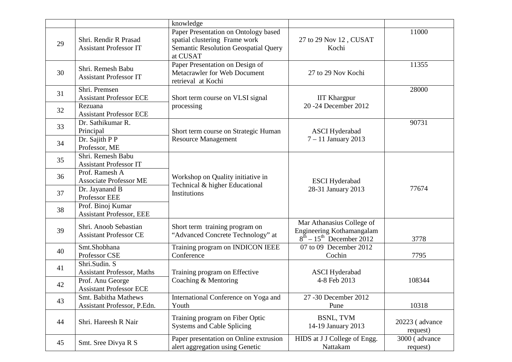|    |                                                        | knowledge                                                                                                                 |                                                                                                          |                            |
|----|--------------------------------------------------------|---------------------------------------------------------------------------------------------------------------------------|----------------------------------------------------------------------------------------------------------|----------------------------|
| 29 | Shri. Rendir R Prasad<br><b>Assistant Professor IT</b> | Paper Presentation on Ontology based<br>spatial clustering Frame work<br>Semantic Resolution Geospatial Query<br>at CUSAT | 27 to 29 Nov 12, CUSAT<br>Kochi                                                                          | 11000                      |
| 30 | Shri. Remesh Babu<br><b>Assistant Professor IT</b>     | Paper Presentation on Design of<br>Metacrawler for Web Document<br>retrieval at Kochi                                     | 27 to 29 Nov Kochi                                                                                       | 11355                      |
| 31 | Shri. Premsen<br><b>Assistant Professor ECE</b>        | Short term course on VLSI signal                                                                                          | <b>IIT Khargpur</b>                                                                                      | 28000                      |
| 32 | Rezuana<br><b>Assistant Professor ECE</b>              | processing                                                                                                                | 20 -24 December 2012                                                                                     |                            |
| 33 | Dr. Sathikumar R.<br>Principal                         | Short term course on Strategic Human                                                                                      | <b>ASCI</b> Hyderabad                                                                                    | 90731                      |
| 34 | Dr. Sajith P P<br>Professor, ME                        | <b>Resource Management</b>                                                                                                | $7 - 11$ January 2013                                                                                    |                            |
| 35 | Shri. Remesh Babu<br><b>Assistant Professor IT</b>     |                                                                                                                           |                                                                                                          |                            |
| 36 | Prof. Ramesh A<br><b>Associate Professor ME</b>        | Workshop on Quality initiative in<br>Technical & higher Educational                                                       | <b>ESCI</b> Hyderabad                                                                                    |                            |
| 37 | Dr. Jayanand B<br>Professor EEE                        | Institutions                                                                                                              | 28-31 January 2013                                                                                       | 77674                      |
| 38 | Prof. Binoj Kumar<br><b>Assistant Professor, EEE</b>   |                                                                                                                           |                                                                                                          |                            |
| 39 | Shri. Anoob Sebastian<br><b>Assistant Professor CE</b> | Short term training program on<br>"Advanced Concrete Technology" at                                                       | Mar Athanasius College of<br>Engineering Kothamangalam<br>$8^{\text{th}} - 15^{\text{th}}$ December 2012 | 3778                       |
| 40 | Smt.Shobhana<br>Professor CSE                          | Training program on INDICON IEEE<br>Conference                                                                            | 07 to 09 December 2012<br>Cochin                                                                         | 7795                       |
| 41 | Shri.Sudin. S<br><b>Assistant Professor, Maths</b>     | Training program on Effective                                                                                             | <b>ASCI</b> Hyderabad                                                                                    |                            |
| 42 | Prof. Anu George<br><b>Assistant Professor ECE</b>     | Coaching & Mentoring                                                                                                      | 4-8 Feb 2013                                                                                             | 108344                     |
| 43 | Smt. Babitha Mathews<br>Assistant Professor, P.Edn.    | International Conference on Yoga and<br>Youth                                                                             | 27 -30 December 2012<br>Pune                                                                             | 10318                      |
| 44 | Shri. Hareesh R Nair                                   | Training program on Fiber Optic<br><b>Systems and Cable Splicing</b>                                                      | <b>BSNL, TVM</b><br>14-19 January 2013                                                                   | 20223 (advance<br>request) |
| 45 | Smt. Sree Divya R S                                    | Paper presentation on Online extrusion<br>alert aggregation using Genetic                                                 | HIDS at J J College of Engg.<br>Nattakam                                                                 | 3000 (advance<br>request)  |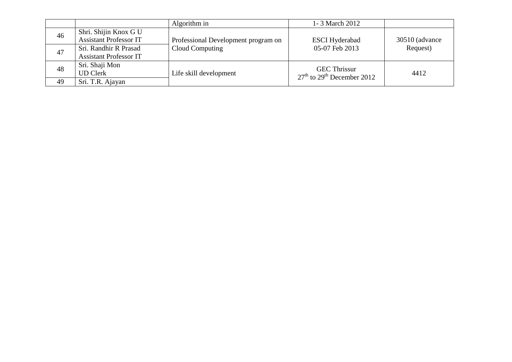|    |                               | Algorithm in                        | 1-3 March 2012                          |                              |
|----|-------------------------------|-------------------------------------|-----------------------------------------|------------------------------|
| 46 | Shri. Shijin Knox G U         |                                     |                                         |                              |
|    | <b>Assistant Professor IT</b> | Professional Development program on | <b>ESCI Hyderabad</b><br>05-07 Feb 2013 | $30510$ (advance<br>Request) |
| 47 | Sri. Randhir R Prasad         | Cloud Computing                     |                                         |                              |
|    | <b>Assistant Professor IT</b> |                                     |                                         |                              |
| 48 | Sri. Shaji Mon                |                                     | <b>GEC Thrissur</b>                     | 4412                         |
|    | <b>UD Clerk</b>               | Life skill development              | $27th$ to $29th$ December 2012          |                              |
| 49 | Sri. T.R. Ajayan              |                                     |                                         |                              |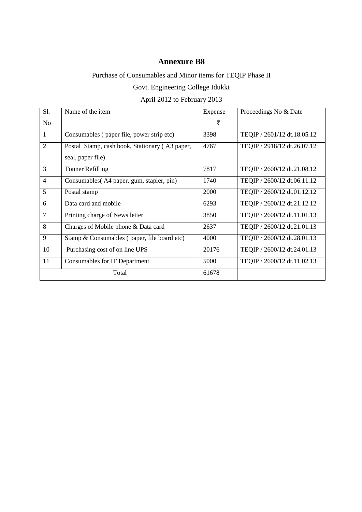### Purchase of Consumables and Minor items for TEQIP Phase II

### Govt. Engineering College Idukki

### April 2012 to February 2013

| Sl.            | Name of the item                               | Expense | Proceedings No & Date       |
|----------------|------------------------------------------------|---------|-----------------------------|
| No             |                                                | ₹       |                             |
| 1              | Consumables (paper file, power strip etc)      | 3398    | TEQIP / 2601/12 dt.18.05.12 |
| $\overline{2}$ | Postal Stamp, cash book, Stationary (A3 paper, | 4767    | TEQIP / 2918/12 dt.26.07.12 |
|                | seal, paper file)                              |         |                             |
| 3              | <b>Tonner Refilling</b>                        | 7817    | TEQIP / 2600/12 dt.21.08.12 |
| $\overline{4}$ | Consumables (A4 paper, gum, stapler, pin)      | 1740    | TEQIP / 2600/12 dt.06.11.12 |
| 5              | Postal stamp                                   | 2000    | TEQIP / 2600/12 dt.01.12.12 |
| 6              | Data card and mobile                           | 6293    | TEQIP / 2600/12 dt.21.12.12 |
| $\overline{7}$ | Printing charge of News letter                 | 3850    | TEQIP / 2600/12 dt.11.01.13 |
| 8              | Charges of Mobile phone & Data card            | 2637    | TEQIP / 2600/12 dt.21.01.13 |
| 9              | Stamp & Consumables (paper, file board etc)    | 4000    | TEQIP / 2600/12 dt.28.01.13 |
| 10             | Purchasing cost of on line UPS                 | 20176   | TEQIP / 2600/12 dt.24.01.13 |
| 11             | Consumables for IT Department                  | 5000    | TEQIP / 2600/12 dt.11.02.13 |
|                | Total                                          | 61678   |                             |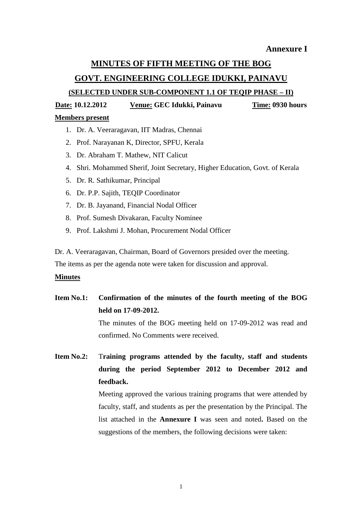# **MINUTES OF FIFTH MEETING OF THE BOG**

#### **GOVT. ENGINEERING COLLEGE IDUKKI, PAINAVU**

**(SELECTED UNDER SUB-COMPONENT 1.1 OF TEQIP PHASE – II)**

**Date: 10.12.2012 Venue: GEC Idukki, Painavu Time: 0930 hours**

#### **Members present**

- 1. Dr. A. Veeraragavan, IIT Madras, Chennai
- 2. Prof. Narayanan K, Director, SPFU, Kerala
- 3. Dr. Abraham T. Mathew, NIT Calicut
- 4. Shri. Mohammed Sherif, Joint Secretary, Higher Education, Govt. of Kerala
- 5. Dr. R. Sathikumar, Principal
- 6. Dr. P.P. Sajith, TEQIP Coordinator
- 7. Dr. B. Jayanand, Financial Nodal Officer
- 8. Prof. Sumesh Divakaran, Faculty Nominee
- 9. Prof. Lakshmi J. Mohan, Procurement Nodal Officer

Dr. A. Veeraragavan, Chairman, Board of Governors presided over the meeting.

The items as per the agenda note were taken for discussion and approval.

#### **Minutes**

**Item No.1: Confirmation of the minutes of the fourth meeting of the BOG held on 17-09-2012.** The minutes of the BOG meeting held on 17-09-2012 was read and confirmed. No Comments were received.

**Item No.2:** T**raining programs attended by the faculty, staff and students during the period September 2012 to December 2012 and feedback.**

> Meeting approved the various training programs that were attended by faculty, staff, and students as per the presentation by the Principal. The list attached in the **Annexure I** was seen and noted**.** Based on the suggestions of the members, the following decisions were taken: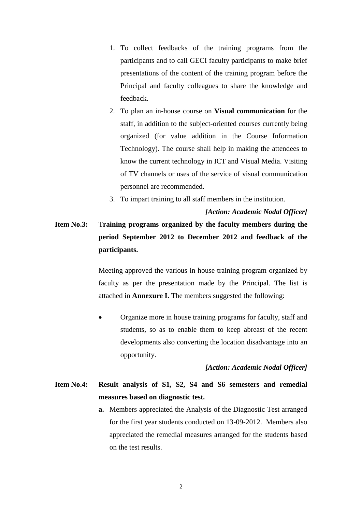- 1. To collect feedbacks of the training programs from the participants and to call GECI faculty participants to make brief presentations of the content of the training program before the Principal and faculty colleagues to share the knowledge and feedback.
- 2. To plan an in-house course on **Visual communication** for the staff, in addition to the subject-oriented courses currently being organized (for value addition in the Course Information Technology). The course shall help in making the attendees to know the current technology in ICT and Visual Media. Visiting of TV channels or uses of the service of visual communication personnel are recommended.
- 3. To impart training to all staff members in the institution.

**Item No.3:** T**raining programs organized by the faculty members during the period September 2012 to December 2012 and feedback of the participants.**

> Meeting approved the various in house training program organized by faculty as per the presentation made by the Principal. The list is attached in **Annexure I.** The members suggested the following:

> · Organize more in house training programs for faculty, staff and students, so as to enable them to keep abreast of the recent developments also converting the location disadvantage into an opportunity.

#### *[Action: Academic Nodal Officer]*

*[Action: Academic Nodal Officer]*

### **Item No.4: Result analysis of S1, S2, S4 and S6 semesters and remedial measures based on diagnostic test.**

**a.** Members appreciated the Analysis of the Diagnostic Test arranged for the first year students conducted on 13-09-2012.Members also appreciated the remedial measures arranged for the students based on the test results.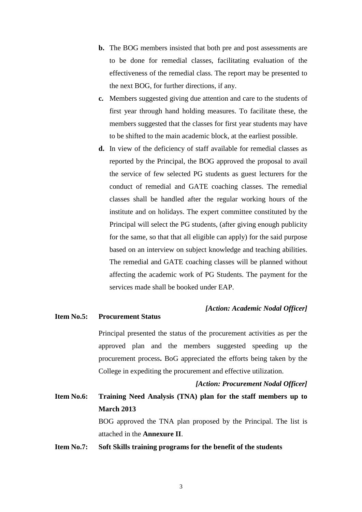- **b.** The BOG members insisted that both pre and post assessments are to be done for remedial classes, facilitating evaluation of the effectiveness of the remedial class. The report may be presented to the next BOG, for further directions, if any.
- **c.** Members suggested giving due attention and care to the students of first year through hand holding measures. To facilitate these, the members suggested that the classes for first year students may have to be shifted to the main academic block, at the earliest possible.
- **d.** In view of the deficiency of staff available for remedial classes as reported by the Principal, the BOG approved the proposal to avail the service of few selected PG students as guest lecturers for the conduct of remedial and GATE coaching classes. The remedial classes shall be handled after the regular working hours of the institute and on holidays. The expert committee constituted by the Principal will select the PG students, (after giving enough publicity for the same, so that that all eligible can apply) for the said purpose based on an interview on subject knowledge and teaching abilities. The remedial and GATE coaching classes will be planned without affecting the academic work of PG Students. The payment for the services made shall be booked under EAP.

#### **Item No.5: Procurement Status**

#### *[Action: Academic Nodal Officer]*

Principal presented the status of the procurement activities as per the approved plan and the members suggested speeding up the procurement process**.** BoG appreciated the efforts being taken by the College in expediting the procurement and effective utilization.

*[Action: Procurement Nodal Officer]*

- **Item No.6: Training Need Analysis (TNA) plan for the staff members up to March 2013** BOG approved the TNA plan proposed by the Principal. The list is attached in the **Annexure II**.
- **Item No.7: Soft Skills training programs for the benefit of the students**